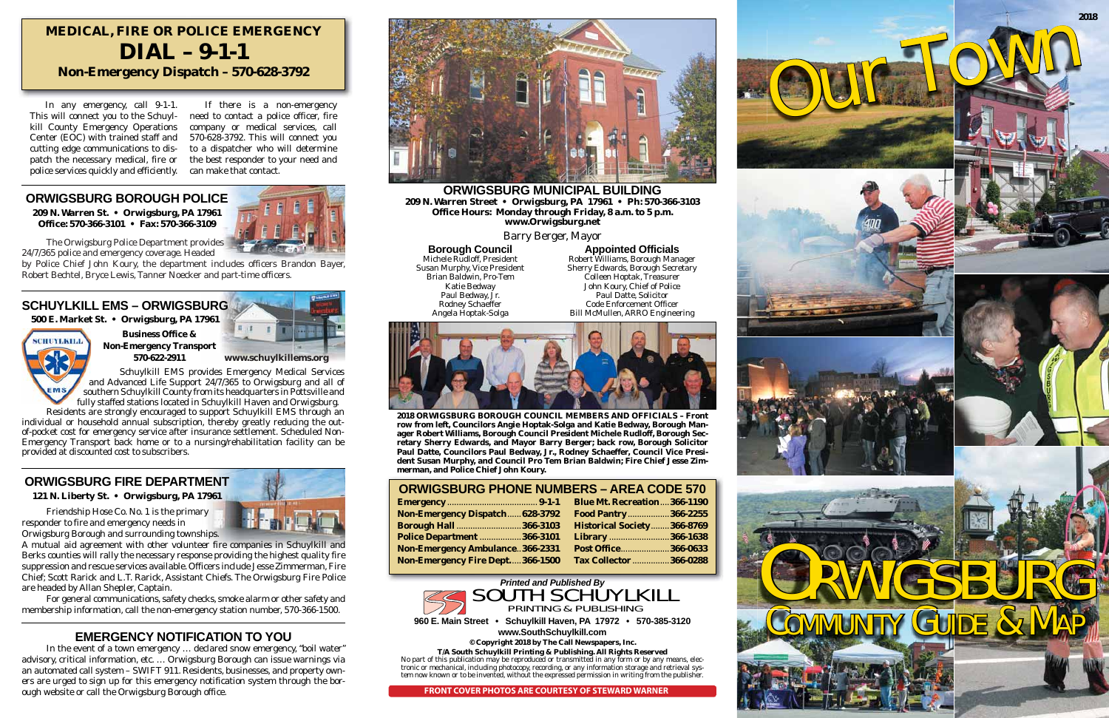**2018 ORWIGSBURG BOROUGH COUNCIL MEMBERS AND OFFICIALS – Front row from left, Councilors Angie Hoptak-Solga and Katie Bedway, Borough Manager Robert Williams, Borough Council President Michele Rudloff, Borough Secretary Sherry Edwards, and Mayor Barry Berger; back row, Borough Solicitor Paul Datte, Councilors Paul Bedway, Jr., Rodney Schaeffer, Council Vice President Susan Murphy, and Council Pro Tem Brian Baldwin; Fire Chief Jesse Zimmerman, and Police Chief John Koury.**

# **121 N. Liberty St. • Orwigsburg, PA 17961 Emergency Community Community Community Community Community Community Community Community Community Community Community Community Community Community Community Community Communi**

**ORWIGSBURG MUNICIPAL BUILDING209 N. Warren Street • Orwigsburg, PA 17961 • Ph: 570-366-3103 Office Hours: Monday through Friday, 8 a.m. to 5 p.m. www.Orwigsburg.net**

Barry Berger, Mayor

# **Borough Council**

Michele Rudloff, President Susan Murphy, Vice President Brian Baldwin, Pro-Tem Katie Bedway Paul Bedway, Jr. Rodney Schaeffer Angela Hoptak-Solga

 In any emergency, call 9-1-1. This will connect you to the Schuylkill County Emergency Operations Center (EOC) with trained staff and cutting edge communications to dispatch the necessary medical, fire or police services quickly and efficiently.

 If there is a non-emergency need to contact a police officer, fire company or medical services, call 570-628-3792. This will connect you to a dispatcher who will determine the best responder to your need and can make that contact.

# **MEDICAL, FIRE OR POLICE EMERGENCY DIAL – 9-1-1Non-Emergency Dispatch – 570-628-3792**

## **ORWIGSBURG BOROUGH POLICE**

**209 N. Warren St. • Orwigsburg, PA 17961 Office: 570-366-3101 • Fax: 570-366-3109**



# **SCHUYLKILL EMS – ORWIGSBURG**

**500 E. Market St. • Orwigsburg, PA 17961**

**SCHUYLKILL** 

# **EMERGENCY NOTIFICATION TO YOU**

 In the event of a town emergency … declared snow emergency, "boil water" advisory, critical information, etc. … Orwigsburg Borough can issue warnings via an automated call system – SWIFT 911. Residents, businesses, and property owners are urged to sign up for this emergency notification system through the borough website or call the Orwigsburg Borough office.



 Friendship Hose Co. No. 1 is the primary responder to fire and emergency needs in Orwigsburg Borough and surrounding townships.

A mutual aid agreement with other volunteer fire companies in Schuylkill and Berks counties will rally the necessary response providing the highest quality fire suppression and rescue services available. Officers include Jesse Zimmerman, Fire Chief; Scott Rarick and L.T. Rarick, Assistant Chiefs. The Orwigsburg Fire Police are headed by Allan Shepler, Captain.

 For general communications, safety checks, smoke alarm or other safety and membership information, call the non-emergency station number, 570-366-1500.

> **960 E. Main Street • Schuylkill Haven, PA 17972 • 570-385-3120 www.SouthSchuylkill.com**

> > **© Copyright 2018 by The Call Newspapers, Inc.**

**T/A South Schuylkill Printing & Publishing. All Rights Reserved** No part of this publication may be reproduced or transmitted in any form or by any means, electronic or mechanical, including photocopy, recording, or any information storage and retrieval system now known or to be invented, without the expressed permission in writing from the publisher.

**Appointed Officials** Robert Williams, Borough Manager Sherry Edwards, Borough Secretary Colleen Hoptak, Treasurer John Koury, Chief of Police Paul Datte, Solicitor Code Enforcement OfficerBill McMullen, ARRO Engineering



 The Orwigsburg Police Department provides 24/7/365 police and emergency coverage. Headed

by Police Chief John Koury, the department includes officers Brandon Bayer, Robert Bechtel, Bryce Lewis, Tanner Noecker and part-time officers.

PRINTING & PUBLISHING

 Schuylkill EMS provides Emergency Medical Services and Advanced Life Support 24/7/365 to Orwigsburg and all of southern Schuylkill County from its headquarters in Pottsville and fully staffed stations located in Schuylkill Haven and Orwigsburg.

 Residents are strongly encouraged to support Schuylkill EMS through an individual or household annual subscription, thereby greatly reducing the outof-pocket cost for emergency service after insurance settlement. Scheduled Non-Emergency Transport back home or to a nursing/rehabilitation facility can be provided at discounted cost to subscribers.

# **ORWIGSBURG FIRE DEPARTMENT**





|                                        | <b>Blue Mt. Recreation366-1190</b> |
|----------------------------------------|------------------------------------|
| Non-Emergency Dispatch 628-3792        | Food Pantry366-2255                |
| <b>Borough Hall  366-3103</b>          | <b>Historical Society366-8769</b>  |
| <b>Police Department  366-3101</b>     | Library 366-1638                   |
| <b>Non-Emergency Ambulance366-2331</b> | Post Office366-0633                |
| Non-Emergency Fire Dept366-1500        | <b>Tax Collector  366-0288</b>     |
|                                        |                                    |

















**FRONT COVER PHOTOS ARE COURTESY OF STEWARD WARNER**

**Business Office & Non-Emergency Transport 570-622-2911www.schuylkillems.org**